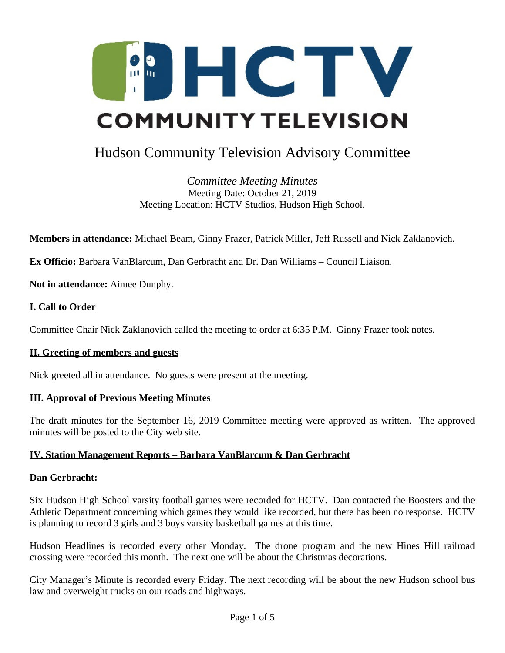

# Hudson Community Television Advisory Committee

*Committee Meeting Minutes* Meeting Date: October 21, 2019 Meeting Location: HCTV Studios, Hudson High School.

**Members in attendance:** Michael Beam, Ginny Frazer, Patrick Miller, Jeff Russell and Nick Zaklanovich.

**Ex Officio:** Barbara VanBlarcum, Dan Gerbracht and Dr. Dan Williams – Council Liaison.

**Not in attendance:** Aimee Dunphy.

## **I. Call to Order**

Committee Chair Nick Zaklanovich called the meeting to order at 6:35 P.M. Ginny Frazer took notes.

#### **II. Greeting of members and guests**

Nick greeted all in attendance. No guests were present at the meeting.

#### **III. Approval of Previous Meeting Minutes**

The draft minutes for the September 16, 2019 Committee meeting were approved as written. The approved minutes will be posted to the City web site.

#### **IV. Station Management Reports – Barbara VanBlarcum & Dan Gerbracht**

#### **Dan Gerbracht:**

Six Hudson High School varsity football games were recorded for HCTV. Dan contacted the Boosters and the Athletic Department concerning which games they would like recorded, but there has been no response. HCTV is planning to record 3 girls and 3 boys varsity basketball games at this time.

Hudson Headlines is recorded every other Monday. The drone program and the new Hines Hill railroad crossing were recorded this month. The next one will be about the Christmas decorations.

City Manager's Minute is recorded every Friday. The next recording will be about the new Hudson school bus law and overweight trucks on our roads and highways.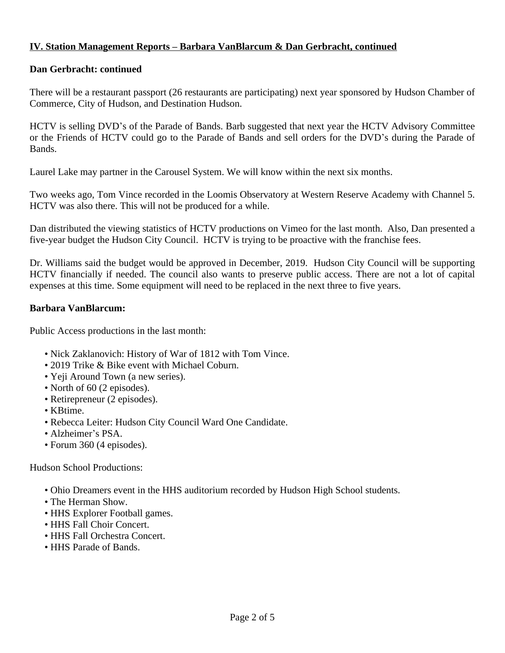## **IV. Station Management Reports – Barbara VanBlarcum & Dan Gerbracht, continued**

## **Dan Gerbracht: continued**

There will be a restaurant passport (26 restaurants are participating) next year sponsored by Hudson Chamber of Commerce, City of Hudson, and Destination Hudson.

HCTV is selling DVD's of the Parade of Bands. Barb suggested that next year the HCTV Advisory Committee or the Friends of HCTV could go to the Parade of Bands and sell orders for the DVD's during the Parade of Bands.

Laurel Lake may partner in the Carousel System. We will know within the next six months.

Two weeks ago, Tom Vince recorded in the Loomis Observatory at Western Reserve Academy with Channel 5. HCTV was also there. This will not be produced for a while.

Dan distributed the viewing statistics of HCTV productions on Vimeo for the last month. Also, Dan presented a five-year budget the Hudson City Council. HCTV is trying to be proactive with the franchise fees.

Dr. Williams said the budget would be approved in December, 2019. Hudson City Council will be supporting HCTV financially if needed. The council also wants to preserve public access. There are not a lot of capital expenses at this time. Some equipment will need to be replaced in the next three to five years.

#### **Barbara VanBlarcum:**

Public Access productions in the last month:

- Nick Zaklanovich: History of War of 1812 with Tom Vince.
- 2019 Trike & Bike event with Michael Coburn.
- Yeji Around Town (a new series).
- North of 60 (2 episodes).
- Retirepreneur (2 episodes).
- KBtime.
- Rebecca Leiter: Hudson City Council Ward One Candidate.
- Alzheimer's PSA.
- Forum 360 (4 episodes).

Hudson School Productions:

- Ohio Dreamers event in the HHS auditorium recorded by Hudson High School students.
- The Herman Show.
- HHS Explorer Football games.
- HHS Fall Choir Concert.
- HHS Fall Orchestra Concert.
- HHS Parade of Bands.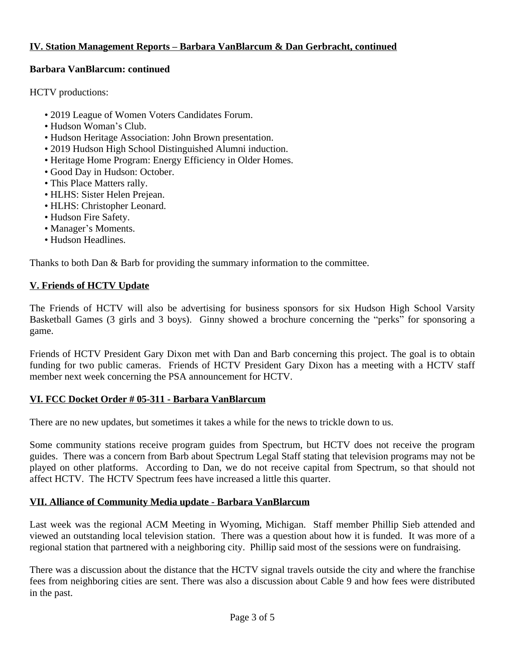## **IV. Station Management Reports – Barbara VanBlarcum & Dan Gerbracht, continued**

## **Barbara VanBlarcum: continued**

HCTV productions:

- 2019 League of Women Voters Candidates Forum.
- Hudson Woman's Club.
- Hudson Heritage Association: John Brown presentation.
- 2019 Hudson High School Distinguished Alumni induction.
- Heritage Home Program: Energy Efficiency in Older Homes.
- Good Day in Hudson: October.
- This Place Matters rally.
- HLHS: Sister Helen Prejean.
- HLHS: Christopher Leonard.
- Hudson Fire Safety.
- Manager's Moments.
- Hudson Headlines.

Thanks to both Dan & Barb for providing the summary information to the committee.

#### **V. Friends of HCTV Update**

The Friends of HCTV will also be advertising for business sponsors for six Hudson High School Varsity Basketball Games (3 girls and 3 boys). Ginny showed a brochure concerning the "perks" for sponsoring a game.

Friends of HCTV President Gary Dixon met with Dan and Barb concerning this project. The goal is to obtain funding for two public cameras. Friends of HCTV President Gary Dixon has a meeting with a HCTV staff member next week concerning the PSA announcement for HCTV.

#### **VI. FCC Docket Order # 05-311 - Barbara VanBlarcum**

There are no new updates, but sometimes it takes a while for the news to trickle down to us.

Some community stations receive program guides from Spectrum, but HCTV does not receive the program guides. There was a concern from Barb about Spectrum Legal Staff stating that television programs may not be played on other platforms. According to Dan, we do not receive capital from Spectrum, so that should not affect HCTV. The HCTV Spectrum fees have increased a little this quarter.

## **VII. Alliance of Community Media update - Barbara VanBlarcum**

Last week was the regional ACM Meeting in Wyoming, Michigan. Staff member Phillip Sieb attended and viewed an outstanding local television station. There was a question about how it is funded. It was more of a regional station that partnered with a neighboring city. Phillip said most of the sessions were on fundraising.

There was a discussion about the distance that the HCTV signal travels outside the city and where the franchise fees from neighboring cities are sent. There was also a discussion about Cable 9 and how fees were distributed in the past.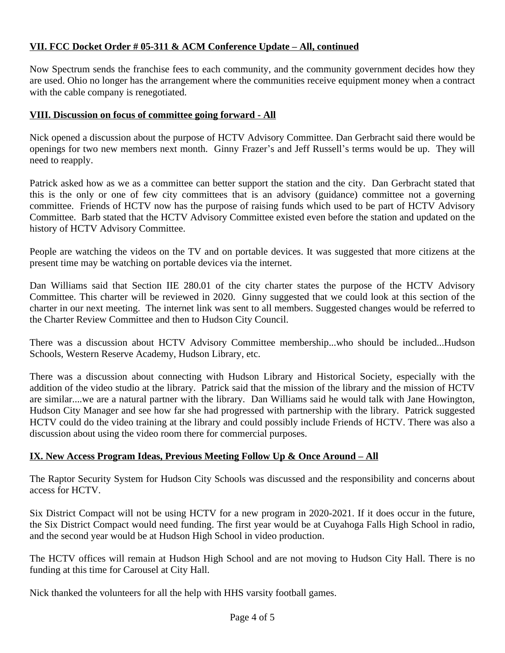## **VII. FCC Docket Order # 05-311 & ACM Conference Update – All, continued**

Now Spectrum sends the franchise fees to each community, and the community government decides how they are used. Ohio no longer has the arrangement where the communities receive equipment money when a contract with the cable company is renegotiated.

### **VIII. Discussion on focus of committee going forward - All**

Nick opened a discussion about the purpose of HCTV Advisory Committee. Dan Gerbracht said there would be openings for two new members next month. Ginny Frazer's and Jeff Russell's terms would be up. They will need to reapply.

Patrick asked how as we as a committee can better support the station and the city. Dan Gerbracht stated that this is the only or one of few city committees that is an advisory (guidance) committee not a governing committee. Friends of HCTV now has the purpose of raising funds which used to be part of HCTV Advisory Committee. Barb stated that the HCTV Advisory Committee existed even before the station and updated on the history of HCTV Advisory Committee.

People are watching the videos on the TV and on portable devices. It was suggested that more citizens at the present time may be watching on portable devices via the internet.

Dan Williams said that Section IIE 280.01 of the city charter states the purpose of the HCTV Advisory Committee. This charter will be reviewed in 2020. Ginny suggested that we could look at this section of the charter in our next meeting. The internet link was sent to all members. Suggested changes would be referred to the Charter Review Committee and then to Hudson City Council.

There was a discussion about HCTV Advisory Committee membership...who should be included...Hudson Schools, Western Reserve Academy, Hudson Library, etc.

There was a discussion about connecting with Hudson Library and Historical Society, especially with the addition of the video studio at the library. Patrick said that the mission of the library and the mission of HCTV are similar....we are a natural partner with the library. Dan Williams said he would talk with Jane Howington, Hudson City Manager and see how far she had progressed with partnership with the library. Patrick suggested HCTV could do the video training at the library and could possibly include Friends of HCTV. There was also a discussion about using the video room there for commercial purposes.

## **IX.** New Access Program Ideas, Previous Meeting Follow Up & Once Around – All

The Raptor Security System for Hudson City Schools was discussed and the responsibility and concerns about access for HCTV.

Six District Compact will not be using HCTV for a new program in 2020-2021. If it does occur in the future, the Six District Compact would need funding. The first year would be at Cuyahoga Falls High School in radio, and the second year would be at Hudson High School in video production.

The HCTV offices will remain at Hudson High School and are not moving to Hudson City Hall. There is no funding at this time for Carousel at City Hall.

Nick thanked the volunteers for all the help with HHS varsity football games.